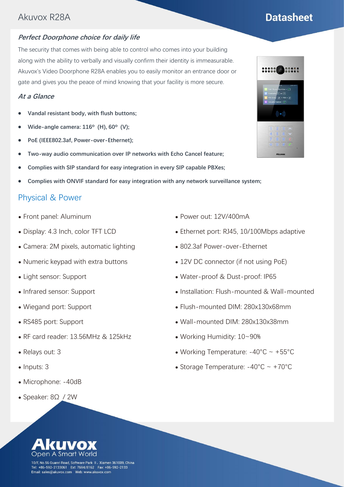## Akuvox R28A

#### **Perfect Doorphone choice for daily life**

The security that comes with being able to control who comes into your building along with the ability to verbally and visually confirm their identity is immeasurable. Akuvox's Video Doorphone R28A enables you to easily monitor an entrance door or gate and gives you the peace of mind knowing that your facility is more secure.

#### **At a Glance**

- ⚫ **Vandal resistant body, with flush buttons;**
- ⚫ **Wide-angle camera: 116º (H), 60º (V);**
- ⚫ **PoE (IEEE802.3af, Power-over-Ethernet);**
- ⚫ **Two-way audio communication over IP networks with Echo Cancel feature;**
- ⚫ **Complies with SIP standard for easy integration in every SIP capable PBXes;**
- ⚫ **Complies with ONVIF standard for easy integration with any network surveillance system;**

#### Physical & Power

- ⚫ Front panel: Aluminum
- ⚫ Display: 4.3 Inch, color TFT LCD
- ⚫ Camera: 2M pixels, automatic lighting
- ⚫ Numeric keypad with extra buttons
- ⚫ Light sensor: Support
- ⚫ Infrared sensor: Support
- ⚫ Wiegand port: Support
- ⚫ RS485 port: Support
- ⚫ RF card reader: 13.56MHz & 125kHz
- ⚫ Relays out: 3
- Inputs: 3
- ⚫ Microphone: -40dB
- ⚫ Speaker: 8Ω / 2W
- ⚫ Power out: 12V/400mA
- Ethernet port: RJ45, 10/100Mbps adaptive
- ⚫ 802.3af Power-over-Ethernet
- 12V DC connector (if not using PoE)
- ⚫ Water-proof & Dust-proof: IP65
- ⚫ Installation: Flush-mounted & Wall-mounted
- ⚫ Flush-mounted DIM: 280x130x68mm
- ⚫ Wall-mounted DIM: 280x130x38mm
- ⚫ Working Humidity: 10~90%
- Working Temperature:  $-40^{\circ}$ C ~  $+55^{\circ}$ C
- Storage Temperature:  $-40^{\circ}$ C ~  $+70^{\circ}$ C

10/F, No.56 Guanri Road, Software Park II, Xiamen 361009, China +86-592-2133061 Ext: 7694/8162 Fax: +86-592-2133 



## **Datasheet**